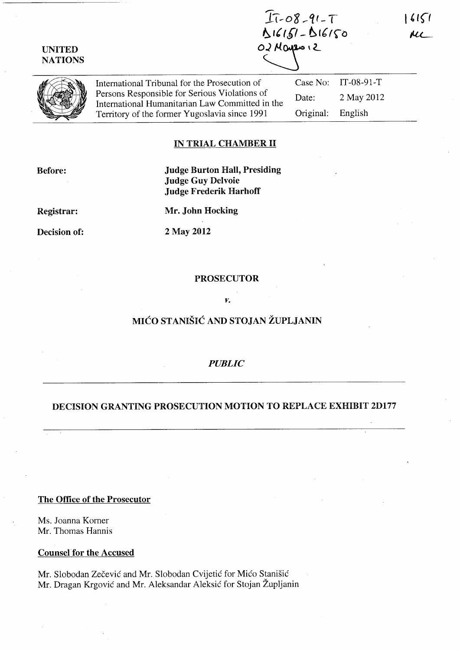| <b>UNITED</b><br><b>NATIONS</b> |                                                                                                                                                                                                    | $I1 - 08 - 91 - 7$<br>$16151 - 516150$<br>O2 Mayro 12 |                       |  |
|---------------------------------|----------------------------------------------------------------------------------------------------------------------------------------------------------------------------------------------------|-------------------------------------------------------|-----------------------|--|
|                                 | International Tribunal for the Prosecution of<br>Persons Responsible for Serious Violations of<br>International Humanitarian Law Committed in the<br>Territory of the former Yugoslavia since 1991 |                                                       | Case No: $IT-08-91-T$ |  |
|                                 |                                                                                                                                                                                                    | Date:                                                 | 2 May 2012            |  |
|                                 |                                                                                                                                                                                                    | Original:                                             | English               |  |

## IN TRIAL CHAMBER II

Before:

## Judge Burton Hall, Presiding Judge Guy Delvoie Judge Frederik Harhoff

Registrar:

Mr. John Hocking

Decision of:

2 May 2012

### PROSECUTOR

#### *v.*

# MICO STANISIC AND STOJAN ZUPLJANIN

## *PUBLIC*

## DECISION GRANTING PROSECUTION MOTION TO REPLACE EXHIBIT 2D177

The Office of the Prosecutor

Ms. Joanna Korner Mr. Thomas Hannis

Counsel for the Accused

Mr. Slobodan Zecevic and Mr. Slobodan Cvijetic for Mico Stanisic Mr. Dragan Krgovic and Mr. Aleksandar Aleksic for Stojan Zupljanin